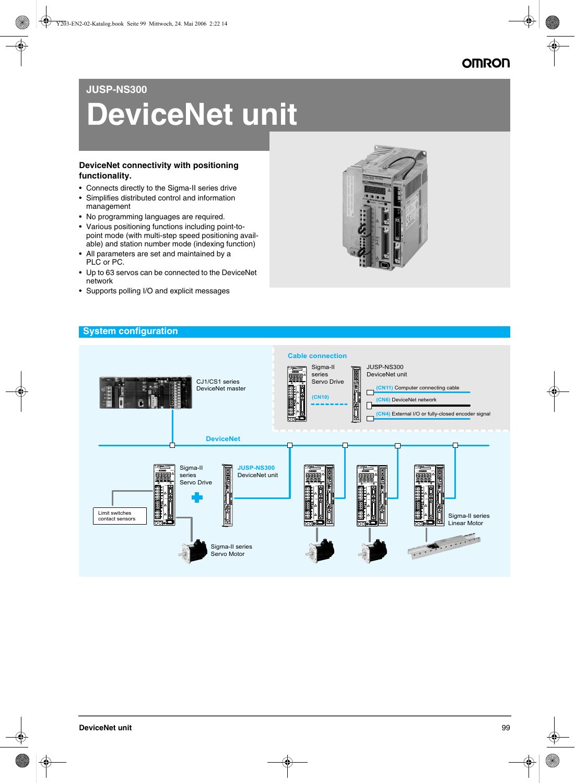# **JUSP-NS300**

# **DeviceNet unit**

### **DeviceNet connectivity with positioning functionality.**

- Connects directly to the Sigma-II series drive
- Simplifies distributed control and information management
- No programming languages are required.
- Various positioning functions including point-topoint mode (with multi-step speed positioning available) and station number mode (indexing function)
- All parameters are set and maintained by a PLC or PC.
- Up to 63 servos can be connected to the DeviceNet network
- Supports polling I/O and explicit messages



### **System configuration**

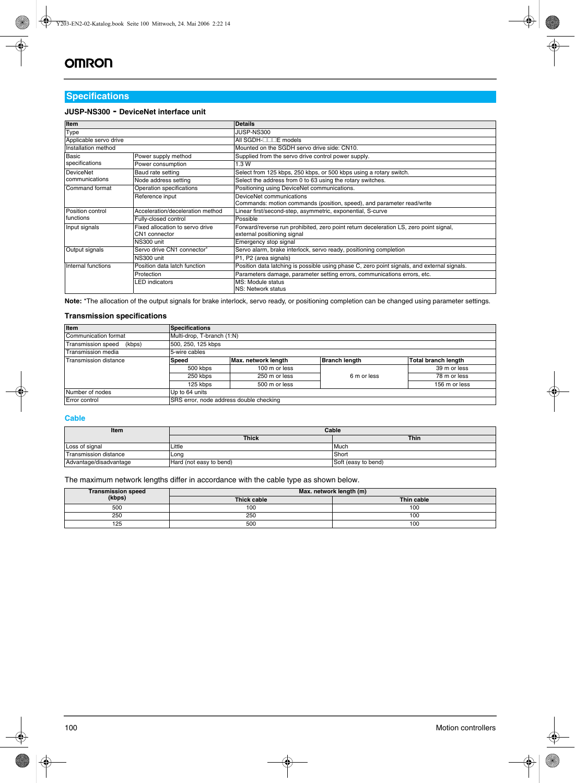## **Specifications**

### **JUSP-NS300 - DeviceNet interface unit**

| <b>Item</b>                                                       |                                  | <b>Details</b>                                                                                                       |  |
|-------------------------------------------------------------------|----------------------------------|----------------------------------------------------------------------------------------------------------------------|--|
| Type                                                              |                                  | JUSP-NS300                                                                                                           |  |
| Applicable servo drive                                            |                                  | All SGDH- <sub></sub> □□□E models                                                                                    |  |
| Installation method                                               |                                  | Mounted on the SGDH servo drive side: CN10.                                                                          |  |
| <b>Basic</b>                                                      | Power supply method              | Supplied from the servo drive control power supply.                                                                  |  |
| specifications                                                    | Power consumption                | 1.3 W                                                                                                                |  |
| <b>DeviceNet</b>                                                  | Baud rate setting                | Select from 125 kbps, 250 kbps, or 500 kbps using a rotary switch.                                                   |  |
| communications                                                    | Node address setting             | Select the address from 0 to 63 using the rotary switches.                                                           |  |
| Command format<br>Operation specifications                        |                                  | Positioning using DeviceNet communications.                                                                          |  |
|                                                                   | Reference input                  | DeviceNet communications                                                                                             |  |
|                                                                   |                                  | Commands: motion commands (position, speed), and parameter read/write                                                |  |
| <b>Position control</b>                                           | Acceleration/deceleration method | Linear first/second-step, asymmetric, exponential, S-curve                                                           |  |
| functions                                                         | Fully-closed control             | Possible                                                                                                             |  |
| Fixed allocation to servo drive<br>Input signals<br>CN1 connector |                                  | Forward/reverse run prohibited, zero point return deceleration LS, zero point signal,<br>external positioning signal |  |
|                                                                   | NS300 unit                       | Emergency stop signal                                                                                                |  |
| Servo drive CN1 connector <sup>®</sup><br>Output signals          |                                  | Servo alarm, brake interlock, servo ready, positioning completion                                                    |  |
|                                                                   | NS300 unit                       | P1, P2 (area signals)                                                                                                |  |
| Internal functions                                                | Position data latch function     | Position data latching is possible using phase C, zero point signals, and external signals.                          |  |
|                                                                   | Protection                       | Parameters damage, parameter setting errors, communications errors, etc.                                             |  |
|                                                                   | LED indicators                   | MS: Module status<br>NS: Network status                                                                              |  |

**Note:** \*The allocation of the output signals for brake interlock, servo ready, or positioning completion can be changed using parameter settings.

### **Transmission specifications**

| Item                         | <b>Specifications</b>                   |                     |                      |                     |
|------------------------------|-----------------------------------------|---------------------|----------------------|---------------------|
| Communication format         | Multi-drop, T-branch (1:N)              |                     |                      |                     |
| Transmission speed<br>(kbps) | 500, 250, 125 kbps                      |                     |                      |                     |
| Transmission media           | 5-wire cables                           |                     |                      |                     |
| <b>Transmission distance</b> | Speed                                   | Max. network length | <b>Branch length</b> | Total branch length |
|                              | 500 kbps                                | 100 m or less       |                      | 39 m or less        |
|                              | 250 kbps                                | 250 m or less       | 6 m or less          | 78 m or less        |
|                              | 125 kbps                                | 500 m or less       |                      | 156 m or less       |
| Number of nodes              | Up to 64 units                          |                     |                      |                     |
| Error control                | SRS error, node address double checking |                     |                      |                     |

### **Cable**

| Item                         | Cable                   |                     |  |
|------------------------------|-------------------------|---------------------|--|
|                              | <b>Thick</b>            | <b>Thin</b>         |  |
| Loss of signal               | Little                  | Much                |  |
| <b>Transmission distance</b> | Lona                    | Short               |  |
| Advantage/disadvantage       | Hard (not easy to bend) | Soft (easy to bend) |  |

The maximum network lengths differ in accordance with the cable type as shown below.

| Transmission speed<br>(kbps) | Max. network length (m) |            |  |
|------------------------------|-------------------------|------------|--|
|                              | Thick cable             | Thin cable |  |
| 500                          | 100                     | 100        |  |
| 250                          | 250                     | 100        |  |
| 125                          | 500                     | 100        |  |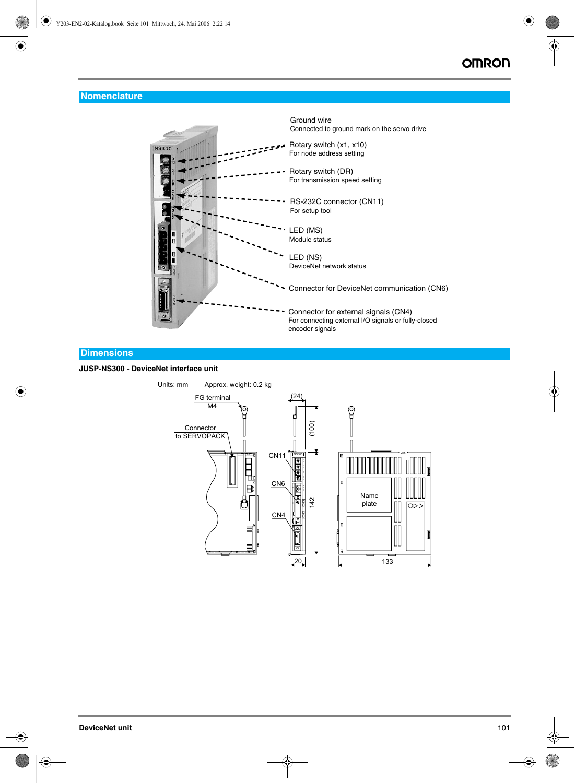## **Nomenclature**



### **Dimensions**

### **JUSP-NS300 - DeviceNet interface unit**

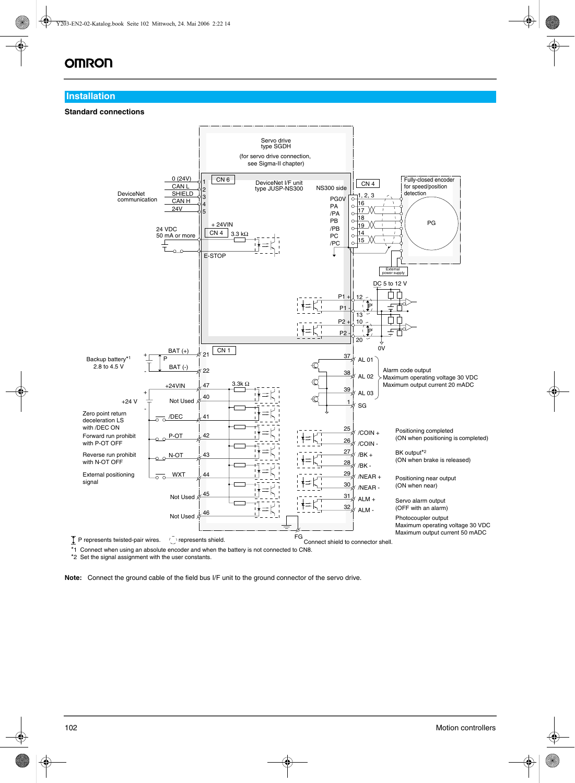# **OMRON**

### **Installation**

### **Standard connections**



\*1 Connect when using an absolute encoder and when the battery is not connected to CN8.

\*2 Set the signal assignment with the user constants.

**Note:** Connect the ground cable of the field bus I/F unit to the ground connector of the servo drive.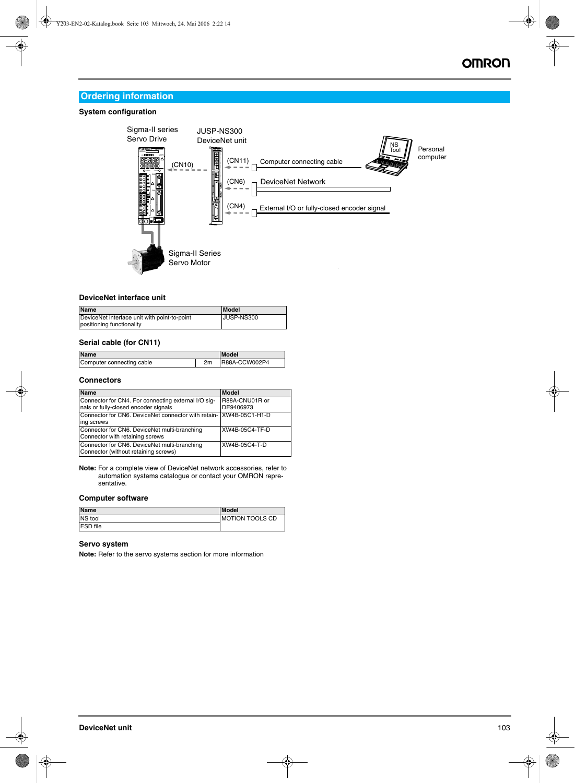# **Ordering information**

### **System configuration**



### **DeviceNet interface unit**

| <b>Name</b>                                                               | Model      |
|---------------------------------------------------------------------------|------------|
| DeviceNet interface unit with point-to-point<br>positioning functionality | JUSP-NS300 |

### **Serial cable (for CN11)**

| <b>Name</b>               |                | Model          |
|---------------------------|----------------|----------------|
| Computer connecting cable | 2 <sub>m</sub> | IR88A-CCW002P4 |

### **Connectors**

| Name                                                                                        | <b>Model</b>                |
|---------------------------------------------------------------------------------------------|-----------------------------|
| Connector for CN4. For connecting external I/O sig-<br>nals or fully-closed encoder signals | R88A-CNU01R or<br>DE9406973 |
| Connector for CN6. DeviceNet connector with retain- XW4B-05C1-H1-D<br>ing screws            |                             |
| Connector for CN6. DeviceNet multi-branching<br>Connector with retaining screws             | XW4B-05C4-TF-D              |
| Connector for CN6. DeviceNet multi-branching<br>Connector (without retaining screws)        | XW4B-05C4-T-D               |

**Note:** For a complete view of DeviceNet network accessories, refer to automation systems catalogue or contact your OMRON representative.

#### **Computer software**

| <b>Name</b>     | Model                  |
|-----------------|------------------------|
| NS tool         | <b>MOTION TOOLS CD</b> |
| <b>ESD</b> file |                        |

### **Servo system**

**Note:** Refer to the servo systems section for more information